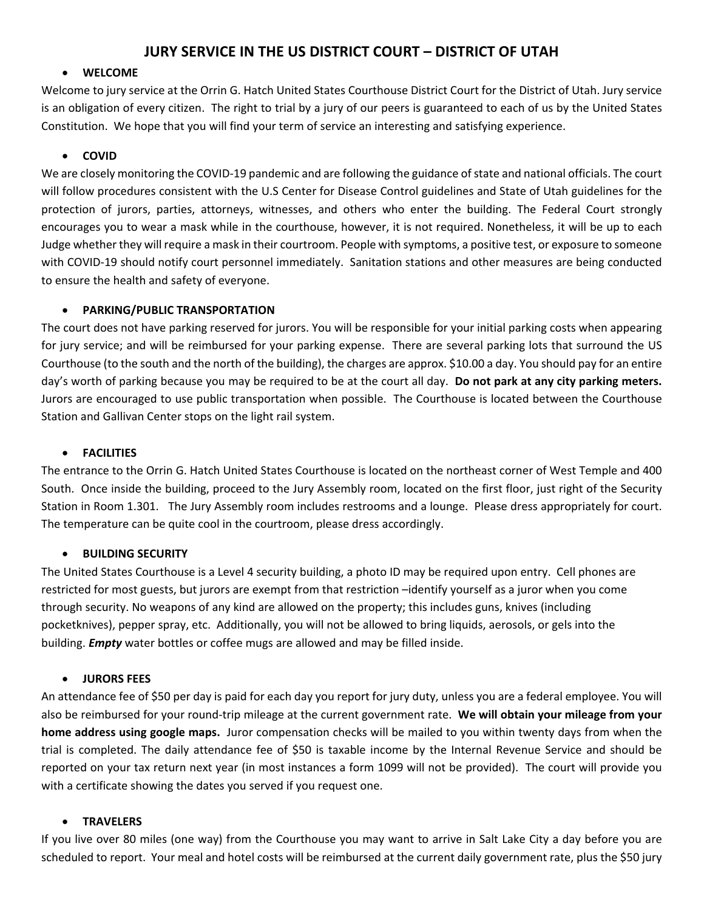# **JURY SERVICE IN THE US DISTRICT COURT – DISTRICT OF UTAH**

#### **WELCOME**

Welcome to jury service at the Orrin G. Hatch United States Courthouse District Court for the District of Utah. Jury service is an obligation of every citizen. The right to trial by a jury of our peers is guaranteed to each of us by the United States Constitution. We hope that you will find your term of service an interesting and satisfying experience.

#### **COVID**

We are closely monitoring the COVID-19 pandemic and are following the guidance of state and national officials. The court will follow procedures consistent with the U.S Center for Disease Control guidelines and State of Utah guidelines for the protection of jurors, parties, attorneys, witnesses, and others who enter the building. The Federal Court strongly encourages you to wear a mask while in the courthouse, however, it is not required. Nonetheless, it will be up to each Judge whether they will require a mask in their courtroom. People with symptoms, a positive test, or exposure to someone with COVID-19 should notify court personnel immediately. Sanitation stations and other measures are being conducted to ensure the health and safety of everyone.

#### **PARKING/PUBLIC TRANSPORTATION**

The court does not have parking reserved for jurors. You will be responsible for your initial parking costs when appearing for jury service; and will be reimbursed for your parking expense. There are several parking lots that surround the US Courthouse (to the south and the north of the building), the charges are approx. \$10.00 a day. You should pay for an entire day's worth of parking because you may be required to be at the court all day. **Do not park at any city parking meters.**  Jurors are encouraged to use public transportation when possible. The Courthouse is located between the Courthouse Station and Gallivan Center stops on the light rail system.

#### **FACILITIES**

The entrance to the Orrin G. Hatch United States Courthouse is located on the northeast corner of West Temple and 400 South. Once inside the building, proceed to the Jury Assembly room, located on the first floor, just right of the Security Station in Room 1.301. The Jury Assembly room includes restrooms and a lounge. Please dress appropriately for court. The temperature can be quite cool in the courtroom, please dress accordingly.

#### **BUILDING SECURITY**

The United States Courthouse is a Level 4 security building, a photo ID may be required upon entry. Cell phones are restricted for most guests, but jurors are exempt from that restriction –identify yourself as a juror when you come through security. No weapons of any kind are allowed on the property; this includes guns, knives (including pocketknives), pepper spray, etc. Additionally, you will not be allowed to bring liquids, aerosols, or gels into the building. *Empty* water bottles or coffee mugs are allowed and may be filled inside.

#### **JURORS FEES**

An attendance fee of \$50 per day is paid for each day you report for jury duty, unless you are a federal employee. You will also be reimbursed for your round‐trip mileage at the current government rate. **We will obtain your mileage from your home address using google maps.** Juror compensation checks will be mailed to you within twenty days from when the trial is completed. The daily attendance fee of \$50 is taxable income by the Internal Revenue Service and should be reported on your tax return next year (in most instances a form 1099 will not be provided). The court will provide you with a certificate showing the dates you served if you request one.

#### **TRAVELERS**

If you live over 80 miles (one way) from the Courthouse you may want to arrive in Salt Lake City a day before you are scheduled to report. Your meal and hotel costs will be reimbursed at the current daily government rate, plus the \$50 jury